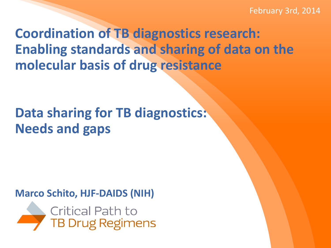February 3rd, 2014

**Coordination of TB diagnostics research: Enabling standards and sharing of data on the molecular basis of drug resistance** 

# **Data sharing for TB diagnostics: Needs and gaps**

#### **Marco Schito, HJF-DAIDS (NIH)**

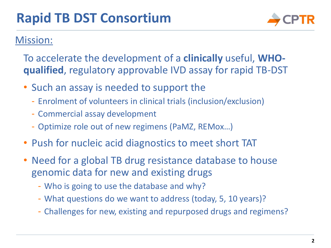

#### Mission:

To accelerate the development of a **clinically** useful, **WHOqualified**, regulatory approvable IVD assay for rapid TB-DST

- Such an assay is needed to support the
	- Enrolment of volunteers in clinical trials (inclusion/exclusion)
	- Commercial assay development
	- Optimize role out of new regimens (PaMZ, REMox…)
- Push for nucleic acid diagnostics to meet short TAT
- Need for a global TB drug resistance database to house genomic data for new and existing drugs
	- Who is going to use the database and why?
	- What questions do we want to address (today, 5, 10 years)?
	- Challenges for new, existing and repurposed drugs and regimens?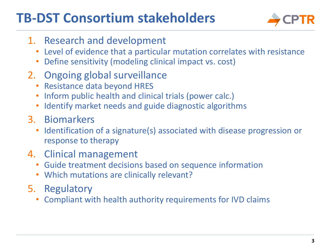## **TB-DST Consortium stakeholders**



- 1. Research and development
	- Level of evidence that a particular mutation correlates with resistance
	- Define sensitivity (modeling clinical impact vs. cost)
- 2. Ongoing global surveillance
	- Resistance data beyond HRES
	- Inform public health and clinical trials (power calc.)
	- Identify market needs and guide diagnostic algorithms
- 3. Biomarkers
	- Identification of a signature(s) associated with disease progression or response to therapy
- 4. Clinical management
	- Guide treatment decisions based on sequence information
	- Which mutations are clinically relevant?
- 5. Regulatory
	- Compliant with health authority requirements for IVD claims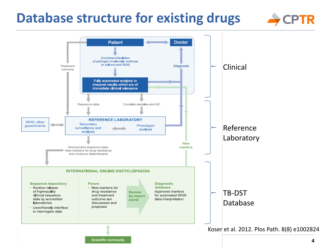### **Database structure for existing drugs**



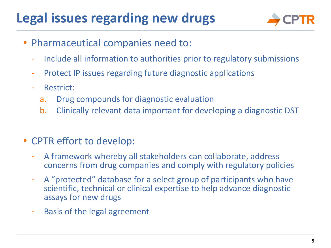# **Legal issues regarding new drugs**



- Pharmaceutical companies need to:
	- Include all information to authorities prior to regulatory submissions
	- Protect IP issues regarding future diagnostic applications
	- Restrict:
		- a. Drug compounds for diagnostic evaluation
		- b. Clinically relevant data important for developing a diagnostic DST
- CPTR effort to develop:
	- A framework whereby all stakeholders can collaborate, address concerns from drug companies and comply with regulatory policies
	- A "protected" database for a select group of participants who have scientific, technical or clinical expertise to help advance diagnostic assays for new drugs
	- Basis of the legal agreement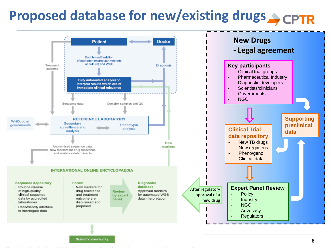# **Proposed database for new/existing drugs**

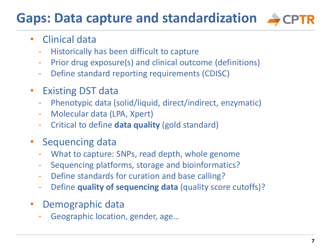#### **7**

### **Gaps: Data capture and standardization**

### • Clinical data

- Historically has been difficult to capture
- Prior drug exposure(s) and clinical outcome (definitions)
- Define standard reporting requirements (CDISC)
- **Existing DST data** 
	- Phenotypic data (solid/liquid, direct/indirect, enzymatic)
	- Molecular data (LPA, Xpert)
	- Critical to define **data quality** (gold standard)
- Sequencing data
	- What to capture: SNPs, read depth, whole genome
	- Sequencing platforms, storage and bioinformatics?
	- Define standards for curation and base calling?
	- Define **quality of sequencing data** (quality score cutoffs)?
- Demographic data
	- Geographic location, gender, age...

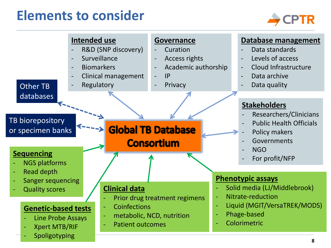### **Elements to consider**



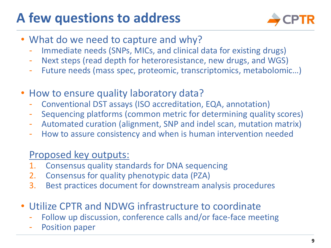# **A few questions to address**



- What do we need to capture and why?
	- Immediate needs (SNPs, MICs, and clinical data for existing drugs)
	- Next steps (read depth for heteroresistance, new drugs, and WGS)
	- Future needs (mass spec, proteomic, transcriptomics, metabolomic...)
- How to ensure quality laboratory data?
	- Conventional DST assays (ISO accreditation, EQA, annotation)
	- Sequencing platforms (common metric for determining quality scores)
	- Automated curation (alignment, SNP and indel scan, mutation matrix)
	- How to assure consistency and when is human intervention needed

### Proposed key outputs:

- 1. Consensus quality standards for DNA sequencing
- 2. Consensus for quality phenotypic data (PZA)
- 3. Best practices document for downstream analysis procedures
- Utilize CPTR and NDWG infrastructure to coordinate
	- Follow up discussion, conference calls and/or face-face meeting
	- Position paper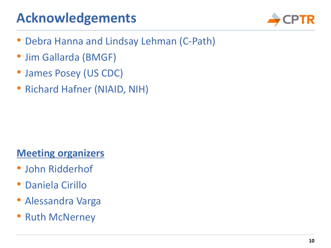# **Acknowledgements**



- Debra Hanna and Lindsay Lehman (C-Path)
- Jim Gallarda (BMGF)
- James Posey (US CDC)
- Richard Hafner (NIAID, NIH)

### **Meeting organizers**

- John Ridderhof
- Daniela Cirillo
- Alessandra Varga
- **Ruth McNerney**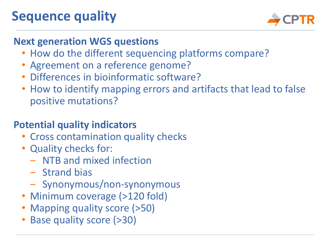# **Sequence quality**



### **Next generation WGS questions**

- How do the different sequencing platforms compare?
- Agreement on a reference genome?
- Differences in bioinformatic software?
- How to identify mapping errors and artifacts that lead to false positive mutations?

### **Potential quality indicators**

- Cross contamination quality checks
- Quality checks for:
	- ‒ NTB and mixed infection
	- Strand bias
	- ‒ Synonymous/non-synonymous
- Minimum coverage (>120 fold)
- Mapping quality score (>50)
- Base quality score (>30)